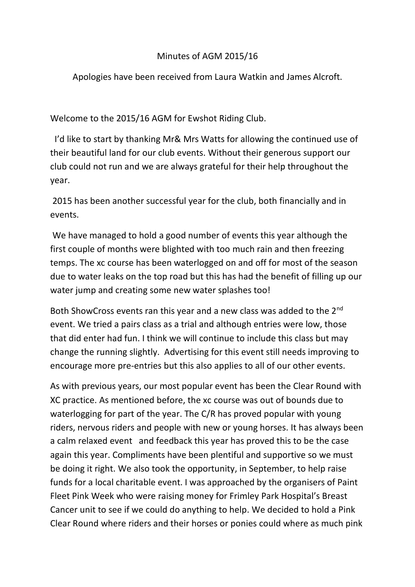## Minutes of AGM 2015/16

Apologies have been received from Laura Watkin and James Alcroft.

Welcome to the 2015/16 AGM for Ewshot Riding Club.

 I'd like to start by thanking Mr& Mrs Watts for allowing the continued use of their beautiful land for our club events. Without their generous support our club could not run and we are always grateful for their help throughout the year.

2015 has been another successful year for the club, both financially and in events.

We have managed to hold a good number of events this year although the first couple of months were blighted with too much rain and then freezing temps. The xc course has been waterlogged on and off for most of the season due to water leaks on the top road but this has had the benefit of filling up our water jump and creating some new water splashes too!

Both ShowCross events ran this year and a new class was added to the 2<sup>nd</sup> event. We tried a pairs class as a trial and although entries were low, those that did enter had fun. I think we will continue to include this class but may change the running slightly. Advertising for this event still needs improving to encourage more pre-entries but this also applies to all of our other events.

As with previous years, our most popular event has been the Clear Round with XC practice. As mentioned before, the xc course was out of bounds due to waterlogging for part of the year. The C/R has proved popular with young riders, nervous riders and people with new or young horses. It has always been a calm relaxed event and feedback this year has proved this to be the case again this year. Compliments have been plentiful and supportive so we must be doing it right. We also took the opportunity, in September, to help raise funds for a local charitable event. I was approached by the organisers of Paint Fleet Pink Week who were raising money for Frimley Park Hospital's Breast Cancer unit to see if we could do anything to help. We decided to hold a Pink Clear Round where riders and their horses or ponies could where as much pink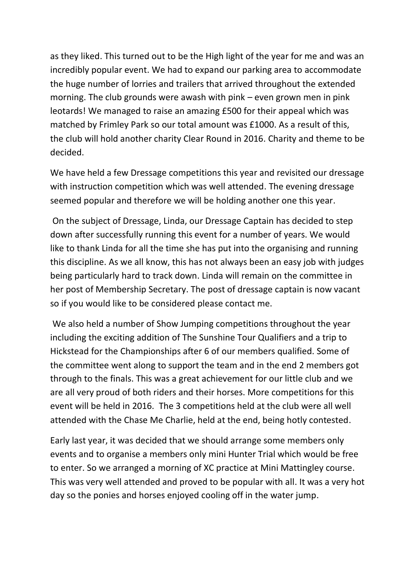as they liked. This turned out to be the High light of the year for me and was an incredibly popular event. We had to expand our parking area to accommodate the huge number of lorries and trailers that arrived throughout the extended morning. The club grounds were awash with pink – even grown men in pink leotards! We managed to raise an amazing £500 for their appeal which was matched by Frimley Park so our total amount was £1000. As a result of this, the club will hold another charity Clear Round in 2016. Charity and theme to be decided.

We have held a few Dressage competitions this year and revisited our dressage with instruction competition which was well attended. The evening dressage seemed popular and therefore we will be holding another one this year.

On the subject of Dressage, Linda, our Dressage Captain has decided to step down after successfully running this event for a number of years. We would like to thank Linda for all the time she has put into the organising and running this discipline. As we all know, this has not always been an easy job with judges being particularly hard to track down. Linda will remain on the committee in her post of Membership Secretary. The post of dressage captain is now vacant so if you would like to be considered please contact me.

We also held a number of Show Jumping competitions throughout the year including the exciting addition of The Sunshine Tour Qualifiers and a trip to Hickstead for the Championships after 6 of our members qualified. Some of the committee went along to support the team and in the end 2 members got through to the finals. This was a great achievement for our little club and we are all very proud of both riders and their horses. More competitions for this event will be held in 2016. The 3 competitions held at the club were all well attended with the Chase Me Charlie, held at the end, being hotly contested.

Early last year, it was decided that we should arrange some members only events and to organise a members only mini Hunter Trial which would be free to enter. So we arranged a morning of XC practice at Mini Mattingley course. This was very well attended and proved to be popular with all. It was a very hot day so the ponies and horses enjoyed cooling off in the water jump.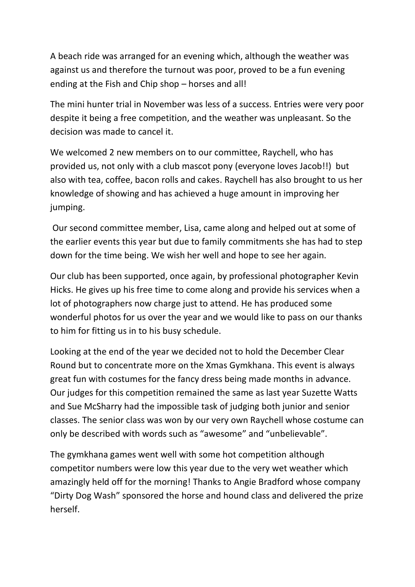A beach ride was arranged for an evening which, although the weather was against us and therefore the turnout was poor, proved to be a fun evening ending at the Fish and Chip shop – horses and all!

The mini hunter trial in November was less of a success. Entries were very poor despite it being a free competition, and the weather was unpleasant. So the decision was made to cancel it.

We welcomed 2 new members on to our committee, Raychell, who has provided us, not only with a club mascot pony (everyone loves Jacob!!) but also with tea, coffee, bacon rolls and cakes. Raychell has also brought to us her knowledge of showing and has achieved a huge amount in improving her jumping.

Our second committee member, Lisa, came along and helped out at some of the earlier events this year but due to family commitments she has had to step down for the time being. We wish her well and hope to see her again.

Our club has been supported, once again, by professional photographer Kevin Hicks. He gives up his free time to come along and provide his services when a lot of photographers now charge just to attend. He has produced some wonderful photos for us over the year and we would like to pass on our thanks to him for fitting us in to his busy schedule.

Looking at the end of the year we decided not to hold the December Clear Round but to concentrate more on the Xmas Gymkhana. This event is always great fun with costumes for the fancy dress being made months in advance. Our judges for this competition remained the same as last year Suzette Watts and Sue McSharry had the impossible task of judging both junior and senior classes. The senior class was won by our very own Raychell whose costume can only be described with words such as "awesome" and "unbelievable".

The gymkhana games went well with some hot competition although competitor numbers were low this year due to the very wet weather which amazingly held off for the morning! Thanks to Angie Bradford whose company "Dirty Dog Wash" sponsored the horse and hound class and delivered the prize herself.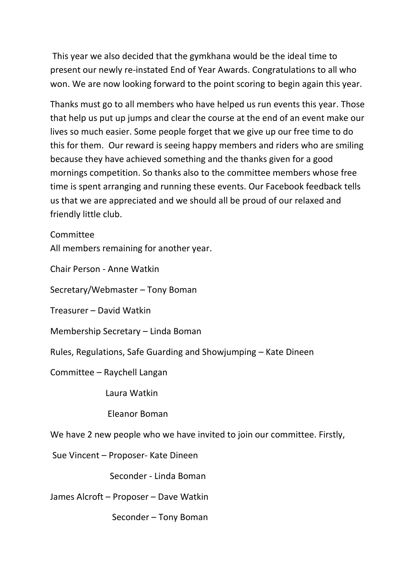This year we also decided that the gymkhana would be the ideal time to present our newly re-instated End of Year Awards. Congratulations to all who won. We are now looking forward to the point scoring to begin again this year.

Thanks must go to all members who have helped us run events this year. Those that help us put up jumps and clear the course at the end of an event make our lives so much easier. Some people forget that we give up our free time to do this for them. Our reward is seeing happy members and riders who are smiling because they have achieved something and the thanks given for a good mornings competition. So thanks also to the committee members whose free time is spent arranging and running these events. Our Facebook feedback tells us that we are appreciated and we should all be proud of our relaxed and friendly little club.

## **Committee**

All members remaining for another year.

Chair Person - Anne Watkin

Secretary/Webmaster – Tony Boman

Treasurer – David Watkin

Membership Secretary – Linda Boman

Rules, Regulations, Safe Guarding and Showjumping – Kate Dineen

Committee – Raychell Langan

Laura Watkin

Eleanor Boman

We have 2 new people who we have invited to join our committee. Firstly,

Sue Vincent – Proposer- Kate Dineen

Seconder - Linda Boman

James Alcroft – Proposer – Dave Watkin

Seconder – Tony Boman